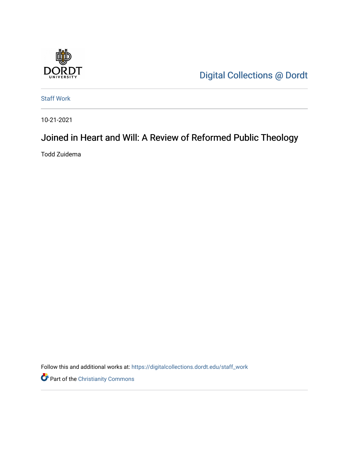

[Digital Collections @ Dordt](https://digitalcollections.dordt.edu/) 

[Staff Work](https://digitalcollections.dordt.edu/staff_work) 

10-21-2021

## Joined in Heart and Will: A Review of Reformed Public Theology

Todd Zuidema

Follow this and additional works at: [https://digitalcollections.dordt.edu/staff\\_work](https://digitalcollections.dordt.edu/staff_work?utm_source=digitalcollections.dordt.edu%2Fstaff_work%2F109&utm_medium=PDF&utm_campaign=PDFCoverPages)

Part of the [Christianity Commons](http://network.bepress.com/hgg/discipline/1181?utm_source=digitalcollections.dordt.edu%2Fstaff_work%2F109&utm_medium=PDF&utm_campaign=PDFCoverPages)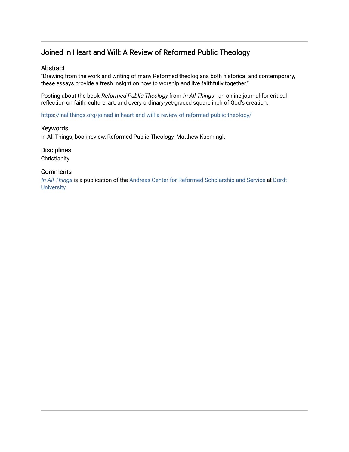## Joined in Heart and Will: A Review of Reformed Public Theology

#### Abstract

"Drawing from the work and writing of many Reformed theologians both historical and contemporary, these essays provide a fresh insight on how to worship and live faithfully together."

Posting about the book Reformed Public Theology from In All Things - an online journal for critical reflection on faith, culture, art, and every ordinary-yet-graced square inch of God's creation.

<https://inallthings.org/joined-in-heart-and-will-a-review-of-reformed-public-theology/>

#### Keywords

In All Things, book review, Reformed Public Theology, Matthew Kaemingk

#### **Disciplines**

**Christianity** 

#### **Comments**

[In All Things](http://inallthings.org/) is a publication of the [Andreas Center for Reformed Scholarship and Service](http://www.dordt.edu/services_support/andreas_center/) at Dordt [University](http://www.dordt.edu/).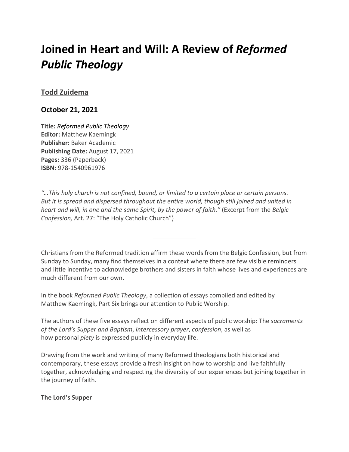# **Joined in Heart and Will: A Review of** *Reformed Public Theology*

## **[Todd Zuidema](https://inallthings.org/author/todd-zuidema/)**

## **October 21, 2021**

**Title:** *Reformed Public Theology* **Editor:** Matthew Kaemingk **Publisher:** Baker Academic **Publishing Date:** August 17, 2021 **Pages:** 336 (Paperback) **ISBN:** 978-1540961976

*"…This holy church is not confined, bound, or limited to a certain place or certain persons. But it is spread and dispersed throughout the entire world, though still joined and united in heart and will, in one and the same Spirit, by the power of faith."* (Excerpt from the *Belgic Confession,* Art. 27: "The Holy Catholic Church")

Christians from the Reformed tradition affirm these words from the Belgic Confession, but from Sunday to Sunday, many find themselves in a context where there are few visible reminders and little incentive to acknowledge brothers and sisters in faith whose lives and experiences are much different from our own.

In the book *Reformed Public Theology*, a collection of essays compiled and edited by Matthew Kaemingk, Part Six brings our attention to Public Worship.

The authors of these five essays reflect on different aspects of public worship: The *sacraments of the Lord's Supper and Baptism*, *intercessory prayer*, *confession*, as well as how personal *piety* is expressed publicly in everyday life.

Drawing from the work and writing of many Reformed theologians both historical and contemporary, these essays provide a fresh insight on how to worship and live faithfully together, acknowledging and respecting the diversity of our experiences but joining together in the journey of faith.

### **The Lord's Supper**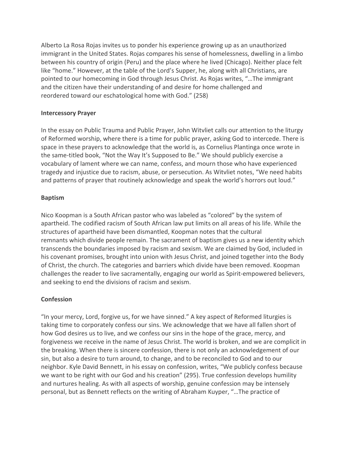Alberto La Rosa Rojas invites us to ponder his experience growing up as an unauthorized immigrant in the United States. Rojas compares his sense of homelessness, dwelling in a limbo between his country of origin (Peru) and the place where he lived (Chicago). Neither place felt like "home." However, at the table of the Lord's Supper, he, along with all Christians, are pointed to our homecoming in God through Jesus Christ. As Rojas writes, "…The immigrant and the citizen have their understanding of and desire for home challenged and reordered toward our eschatological home with God." (258)

## **Intercessory Prayer**

In the essay on Public Trauma and Public Prayer, John Witvliet calls our attention to the liturgy of Reformed worship, where there is a time for public prayer, asking God to intercede. There is space in these prayers to acknowledge that the world is, as Cornelius Plantinga once wrote in the same-titled book, "Not the Way It's Supposed to Be." We should publicly exercise a vocabulary of lament where we can name, confess, and mourn those who have experienced tragedy and injustice due to racism, abuse, or persecution. As Witvliet notes, "We need habits and patterns of prayer that routinely acknowledge and speak the world's horrors out loud."

## **Baptism**

Nico Koopman is a South African pastor who was labeled as "colored" by the system of apartheid. The codified racism of South African law put limits on all areas of his life. While the structures of apartheid have been dismantled, Koopman notes that the cultural remnants which divide people remain. The sacrament of baptism gives us a new identity which transcends the boundaries imposed by racism and sexism. We are claimed by God, included in his covenant promises, brought into union with Jesus Christ, and joined together into the Body of Christ, the church. The categories and barriers which divide have been removed. Koopman challenges the reader to live sacramentally, engaging our world as Spirit-empowered believers, and seeking to end the divisions of racism and sexism.

## **Confession**

"In your mercy, Lord, forgive us, for we have sinned." A key aspect of Reformed liturgies is taking time to corporately confess our sins. We acknowledge that we have all fallen short of how God desires us to live, and we confess our sins in the hope of the grace, mercy, and forgiveness we receive in the name of Jesus Christ. The world is broken, and we are complicit in the breaking. When there is sincere confession, there is not only an acknowledgement of our sin, but also a desire to turn around, to change, and to be reconciled to God and to our neighbor. Kyle David Bennett, in his essay on confession, writes, "We publicly confess because we want to be right with our God and his creation" (295). True confession develops humility and nurtures healing. As with all aspects of worship, genuine confession may be intensely personal, but as Bennett reflects on the writing of Abraham Kuyper, "…The practice of